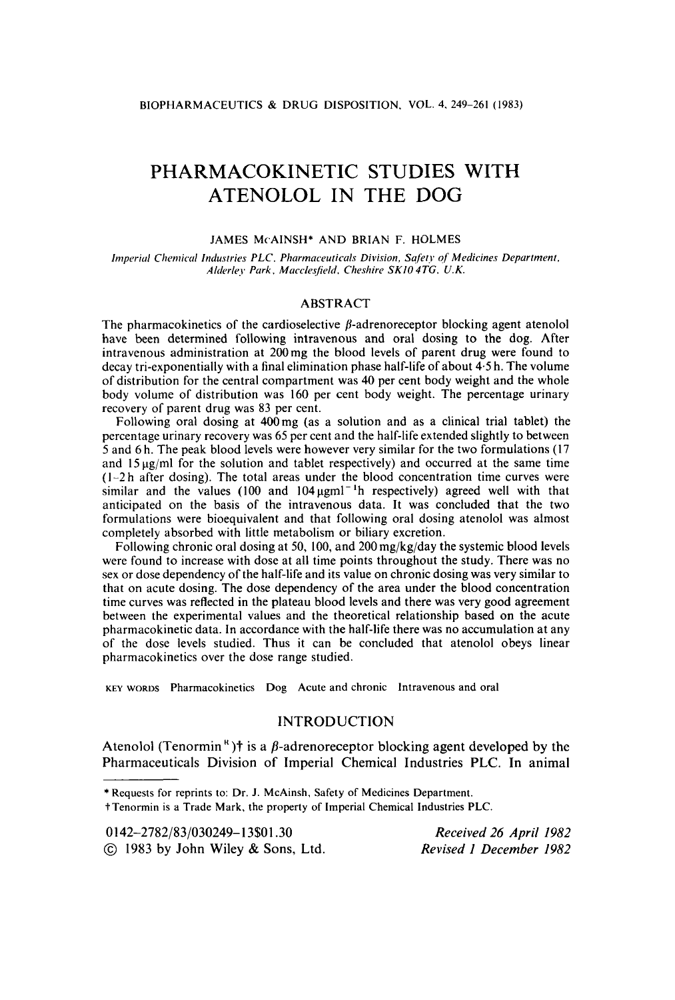# PHARMACOKINETIC STUDIES WITH ATENOLOL IN THE DOG

#### **JAMES McAINSH\* AND BRIAN** F. **HOLMES**

*In7periul Cheniicd Industries PLC. Pliarmaceuticuls Division, Safer? of Medicines Department, Alderley Park, Mucclesjield. Chesliire SKI0 4TG. U.K.* 

#### ABSTRACT

The pharmacokinetics of the cardioselective  $\beta$ -adrenoreceptor blocking agent atenolol have been determined following intravenous and oral dosing to the dog. After intravenous administration at 200mg the blood levels of parent drug were found to decay tri-exponentially with a final elimination phase half-life of about 4.5 h. The volume of distribution for the central compartment was 40 per cent body weight and the whole body volume of distribution was 160 per cent body weight. The percentage urinary recovery of parent drug was 83 per cent.

Following oral dosing at 400mg (as a solution and as a clinical trial tablet) the percentage urinary recovery was *65* per cent and the half-life extended slightly to between 5 and 6 h. The peak blood levels were however very similar for the two formulations (17 and  $15 \mu g/ml$  for the solution and tablet respectively) and occurred at the same time  $(1-2h)$  after dosing). The total areas under the blood concentration time curves were similar and the values (100 and  $104 \mu g$ ml<sup>-1</sup>h respectively) agreed well with that anticipated on the basis of the intravenous data. It was concluded that the two formulations were bioequivalent and that following oral dosing atenolol was almost completely absorbed with little metabolism or biliary excretion.

Following chronic oral dosing at 50, 100, and 200mg/kg/day the systemic blood levels were found to increase with dose at all time points throughout the study. There was no sex or dose dependency of the half-life and its value on chronic dosing was very similar to that on acute dosing. The dose dependency of the area under the blood concentration time curves was reflected in the plateau blood levels and there was very good agreement between the experimental values and the theoretical relationship based on the acute pharmacokinetic data. In accordance with the half-life there was no accumulation at any of the dose levels studied. Thus it can be concluded that atenolol obeys linear pharmacokinetics over the dose range studied.

KEY WORDS **Phdrmacokinetics** Dog **Acute and chronic htravenous and ordl** 

## INTRODUCTION

Atenolol (Tenormin<sup>8</sup>)<sup>†</sup> is a  $\beta$ -adrenoreceptor blocking agent developed by the Pharmaceuticals Division of Imperial Chemical Industries PLC. In animal

t **Tenormin is a Trade Mark, the property of Imperial Chemical Industries PLC.** 

**<sup>\*</sup>Requests for reprints to: Dr. J. McAinsh, Safety of Medicines Department.** 

**<sup>0142-2782/83/030249-13\$01.30</sup>** *Received 26 April 1982* 

<sup>@</sup> *1983* by John Wiley & Sons, Ltd. *Revised 1 December 1982*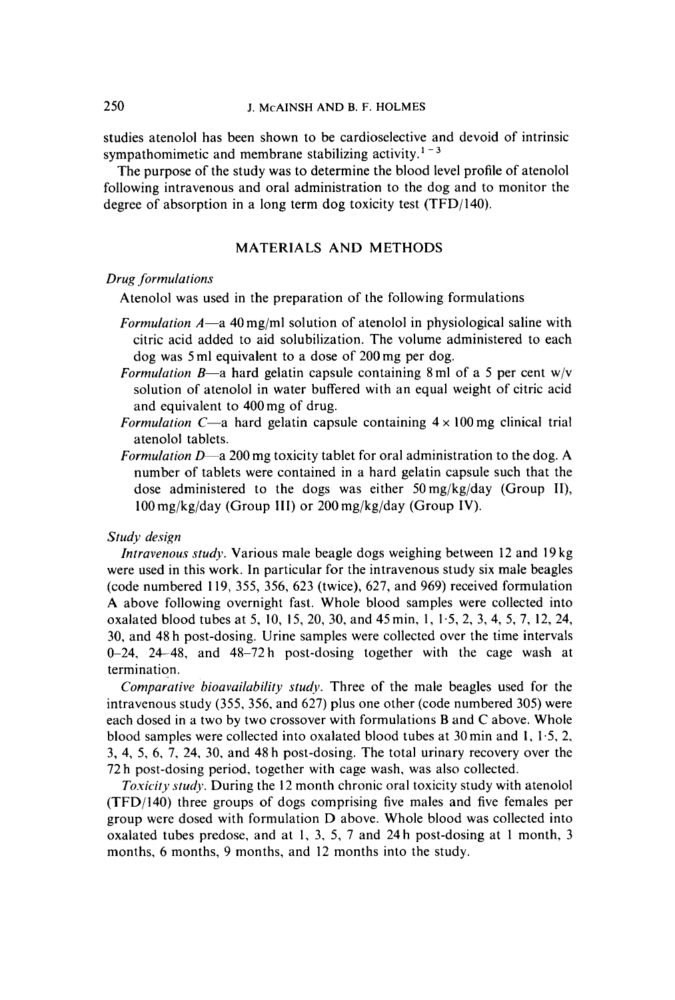studies atenolol has been shown to be cardioselective and devoid of intrinsic sympathomimetic and membrane stabilizing activity.<sup>1-3</sup>

The purpose of the study was to determine the blood level profile of atenolol following intravenous and oral administration to the dog and to monitor the degree of absorption in a long term dog toxicity test (TFD/I40).

# MATERIALS AND METHODS

## *Drug formulations*

Atenolol was used in the preparation of the following formulations

- *Formulation A*-a 40 mg/ml solution of atenolol in physiological saline with citric acid added to aid solubilization. The volume administered to each dog was 5 ml equivalent to a dose of 200 mg per dog.
- *Formulation B*—a hard gelatin capsule containing 8 ml of a 5 per cent w/v solution of atenolol in water buffered with an equal weight of citric acid and equivalent to 400mg of drug.
- *Formulation C*—a hard gelatin capsule containing  $4 \times 100$  mg clinical trial atenolol tablets.
- *Formulation D*—a 200 mg toxicity tablet for oral administration to the dog. A number of tablets were contained in a hard gelatin capsule such that the dose administered to the dogs was either 50 mg/kg/day (Group **11), 100** mg/kg/day (Group **111)** or 200 mg/kg/day (Group **IV).**

## *Study design*

*Intravenous study.* Various male beagle dogs weighing between 12 and 19 kg were used in this work. In particular for the intravenous study six male beagles (code numbered 119, *355,* 356, 623 (twice), 627, and 969) received formulation A above following overnight fast. Whole blood samples were collected into oxalated blood tubes at 5, 10, **15,** 20, 30, and 45min, 1, 1.5, 2, 3, 4, 5, 7, 12, 24, 30, and 48 h post-dosing. Urine samples were collected over the time intervals 0-24, 24-48, and 48-72h post-dosing together with the cage wash at termination.

*Comparative bioavuilubility studv.* Three of the male beagles used for the intravenous study (355, 356, and 627) plus one other (code numbered 305) were each dosed in a two by two crossover with formulations **B** and *C* above. Whole blood samples were collected into oxalated blood tubes at 30 min and **1,** 1.5, 2, **3,** 4, 5, 6, 7, 24, 30, and 48 h post-dosing. The total urinary recovery over the 72 h post-dosing period, together with cage wash, was also collected.

*Toxicity study.* During the 12 month chronic oral toxicity study with atenolol (TFD/I40) three groups of dogs comprising five males and five females per group were dosed with formulation D above. Whole blood was collected into oxalated tubes predose, and at 1, 3, 5, 7 and 24 h post-dosing at **1** month, **3**  months, 6 months, 9 months, and 12 months into the study.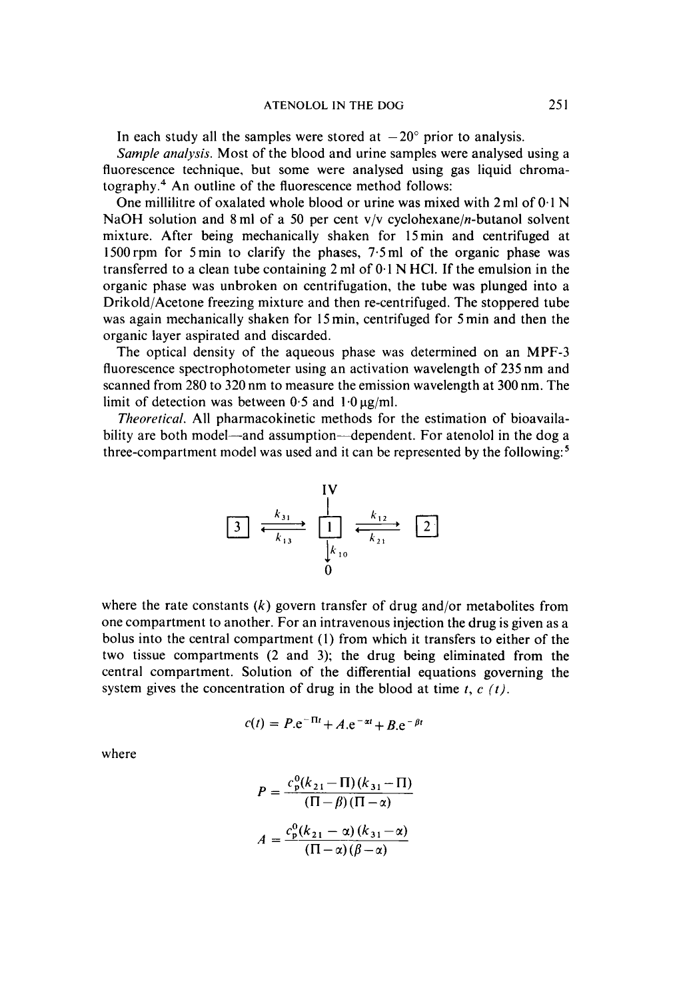In each study all the samples were stored at  $-20^{\circ}$  prior to analysis.

*Sample analysis.* Most of the blood and urine samples were analysed using a fluorescence technique, but some were analysed using gas liquid chromatography. $4$  An outline of the fluorescence method follows:

One millilitre of oxalated whole blood or urine was mixed with 2ml of 0.1 N NaOH solution and 8 ml of a 50 per cent  $v/v$  cyclohexane/*n*-butanol solvent mixture. After being mechanically shaken for 15 min and centrifuged at l5OOrpm for 5min to clarify the phases, 7.5ml of the organic phase was transferred to a clean tube containing *2* ml of **0.1** N HCI. If the emulsion in the organic phase was unbroken on centrifugation, the tube was plunged into a Drikold/Acetone freezing mixture and then re-centrifuged. The stoppered tube was again mechanically shaken for 15 min, centrifuged for **5** min and then the organic layer aspirated and discarded.

The optical density of the aqueous phase was determined on an MPF-3 fluorescence spectrophotometer using an activation wavelength of **235** nm and scanned from **280** to **320** nm to measure the emission wavelength at **300** nm. The limit of detection was between  $0.5$  and  $1.0 \mu g/ml$ .

*Theoretical. All* pharmacokinetic methods for the estimation of bioavailability are both model—and assumption—dependent. For atenolol in the dog a three-compartment model was used and it can be represented by the following:

**IV** 

where the rate constants  $(k)$  govern transfer of drug and/or metabolites from one compartment to another. For an intravenous injection the drug is given as a bolus into the central compartment (1) from which it transfers to either of the two tissue compartments **(2** and 3); the drug being eliminated from the central compartment. Solution of the differential equations governing the system gives the concentration of drug in the blood at time *t, c (t).* 

$$
c(t) = P.e^{-\Pi t} + A.e^{-\alpha t} + B.e^{-\beta t}
$$

where

$$
P = \frac{c_p^0(k_{21} - \Pi)(k_{31} - \Pi)}{(\Pi - \beta)(\Pi - \alpha)}
$$

$$
A = \frac{c_p^0(k_{21} - \alpha)(k_{31} - \alpha)}{(\Pi - \alpha)(\beta - \alpha)}
$$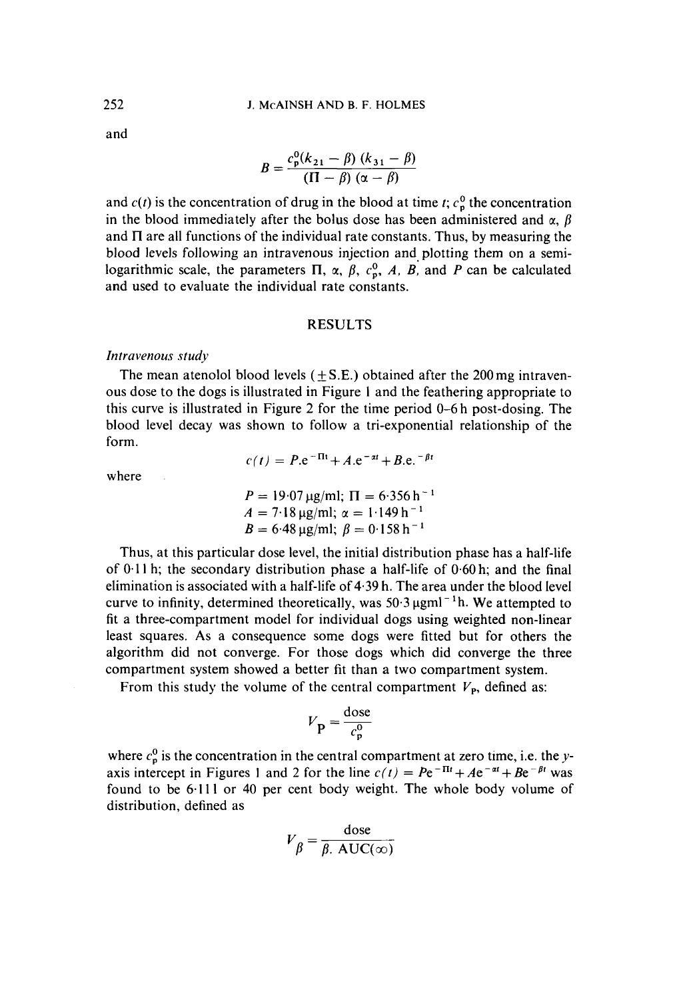and

$$
B = \frac{c_{\rm p}^0(k_{21} - \beta) (k_{31} - \beta)}{(\Pi - \beta) (\alpha - \beta)}
$$

and  $c(t)$  is the concentration of drug in the blood at time *t*;  $c_p^0$  the concentration in the blood immediately after the bolus dose has been administered and  $\alpha$ ,  $\beta$ and  $\Pi$  are all functions of the individual rate constants. Thus, by measuring the blood levels following an intravenous injection and. plotting them on a semilogarithmic scale, the parameters  $\Pi$ ,  $\alpha$ ,  $\beta$ ,  $c_p^0$ , A, B, and P can be calculated and used to evaluate the individual rate constants.

# **RESULTS**

### *Intravenous study*

The mean atenolol blood levels  $(\pm S.E.)$  obtained after the 200 mg intravenous dose to the dogs **is** illustrated in Figure I and the feathering appropriate to this curve is illustrated in Figure 2 for the time period 0-6 h post-dosing. The blood level decay was shown to follow a tri-exponential relationship of the form.

 $c(t) = P.e^{-\Pi t} + A.e^{-\alpha t} + B.e.^{-\beta t}$ 

where

$$
P = 19.07 \,\mu\text{g/ml}; \ \Pi = 6.356 \,\text{h}^{-1}
$$
\n
$$
A = 7.18 \,\mu\text{g/ml}; \ \alpha = 1.149 \,\text{h}^{-1}
$$
\n
$$
B = 6.48 \,\mu\text{g/ml}; \ \beta = 0.158 \,\text{h}^{-1}
$$

Thus, at this particular dose level, the initial distribution phase has a half-life of 0.1 **1** h; the secondary distribution phase a half-life of 0.60 h; and the final elimination is associated with a half-life of 4.39 h. The area under the blood level curve to infinity, determined theoretically, was  $50.3 \,\mu\text{g} \text{m} \text{l}^{-1}$ h. We attempted to fit a three-compartment model for individual dogs using weighted non-linear least squares. As a consequence some dogs were fitted but for others the algorithm did not converge. For those dogs which did converge the three compartment system showed a better fit than a two compartment system.

From this study the volume of the central compartment  $V_{\text{P}}$ , defined as:

$$
V_{\mathbf{P}} = \frac{\text{dose}}{c_{\mathbf{p}}^0}
$$

where  $c_p^0$  is the concentration in the central compartment at zero time, i.e. the *y*axis intercept in Figures 1 and 2 for the line  $c(t) = Pe^{-\Pi t} + Ae^{-\alpha t} + Be^{-\beta t}$  was found to be 6.111 or 40 per cent body weight. The whole body volume of distribution, defined as

$$
V_{\beta} = \frac{\text{dose}}{\beta. \text{ AUC}(\infty)}
$$

*252*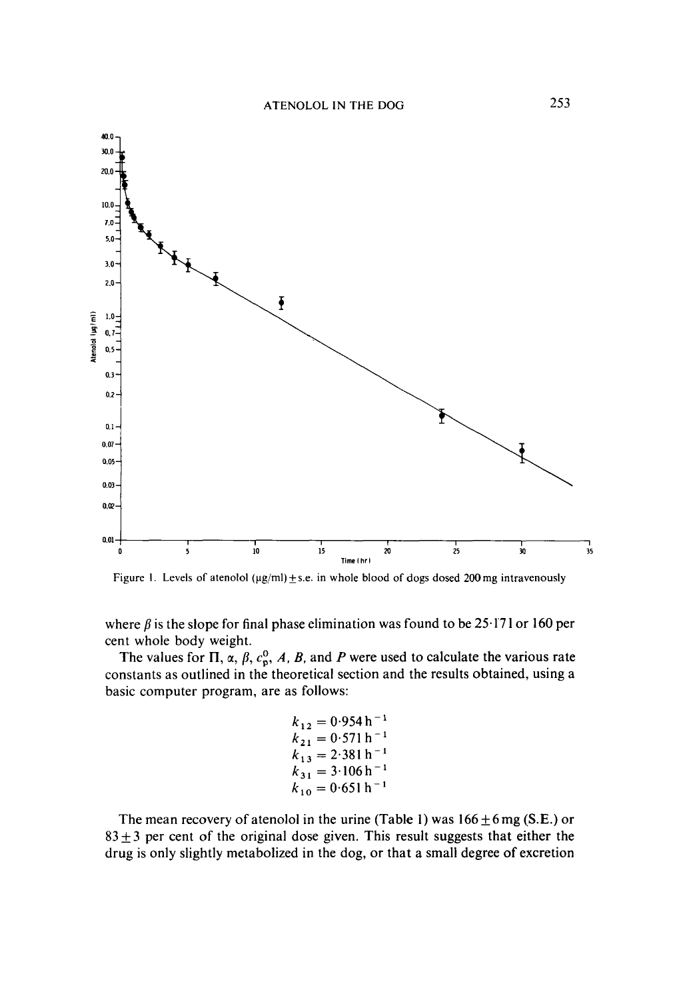

Figure 1. Levels of atenolol ( $\mu$ g/ml)  $\pm$  s.e. in whole blood of dogs dosed 200 mg intravenously

where  $\beta$  is the slope for final phase elimination was found to be 25.171 or 160 per cent whole body weight.

The values for  $\Pi$ ,  $\alpha$ ,  $\beta$ ,  $c_p^0$ , A, B, and P were used to calculate the various rate constants as outlined in the theoretical section and the results obtained, using a basic computer program, are as follows:

$$
k_{12} = 0.954 h^{-1}
$$
  
\n
$$
k_{21} = 0.571 h^{-1}
$$
  
\n
$$
k_{13} = 2.381 h^{-1}
$$
  
\n
$$
k_{31} = 3.106 h^{-1}
$$
  
\n
$$
k_{10} = 0.651 h^{-1}
$$

The mean recovery of atenolol in the urine (Table 1) was  $166 \pm 6$  mg (S.E.) or  $83 \pm 3$  per cent of the original dose given. This result suggests that either the drug is only slightly metabolized in the dog, or that a small degree **of** excretion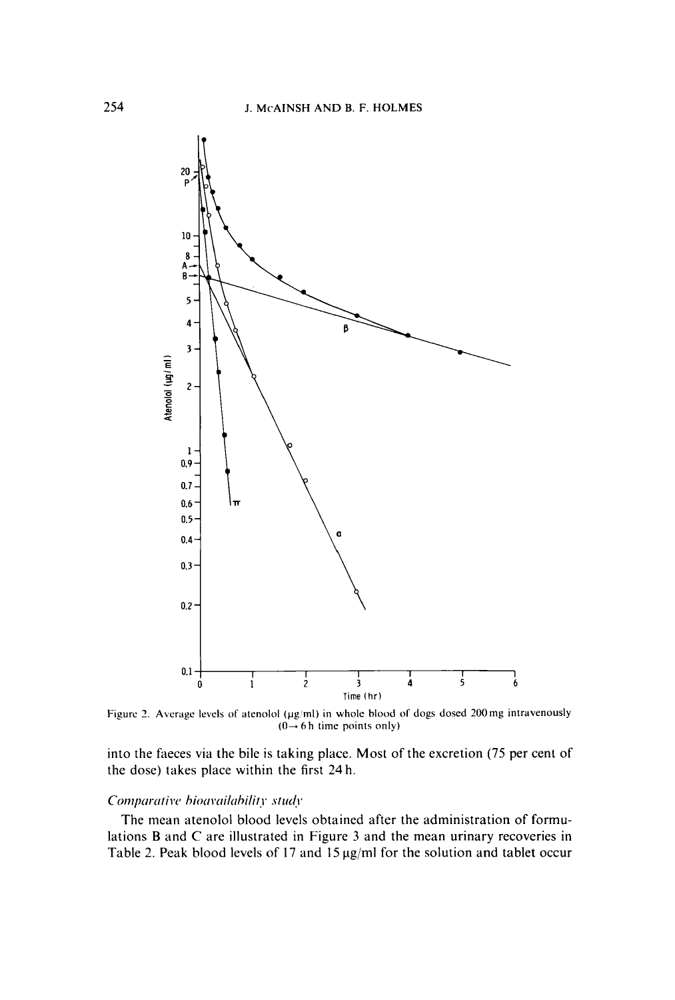

Figure 2. Average levels of atenolol ( $\mu$ g/ml) in whole blood of dogs dosed 200 mg intravenously  $(0 \rightarrow 6 \text{ h time points only})$ 

into the faeces via the bile is taking place. Most of the excretion (75 per cent of the dose) takes place within the first **24** h.

## *Comparative bioavailability study*

The mean atenolol blood levels obtained after the administration of formulations **B** and *C* are illustrated in Figure **3** and the mean urinary recoveries in Table 2. Peak blood levels of 17 and 15  $\mu$ g/ml for the solution and tablet occur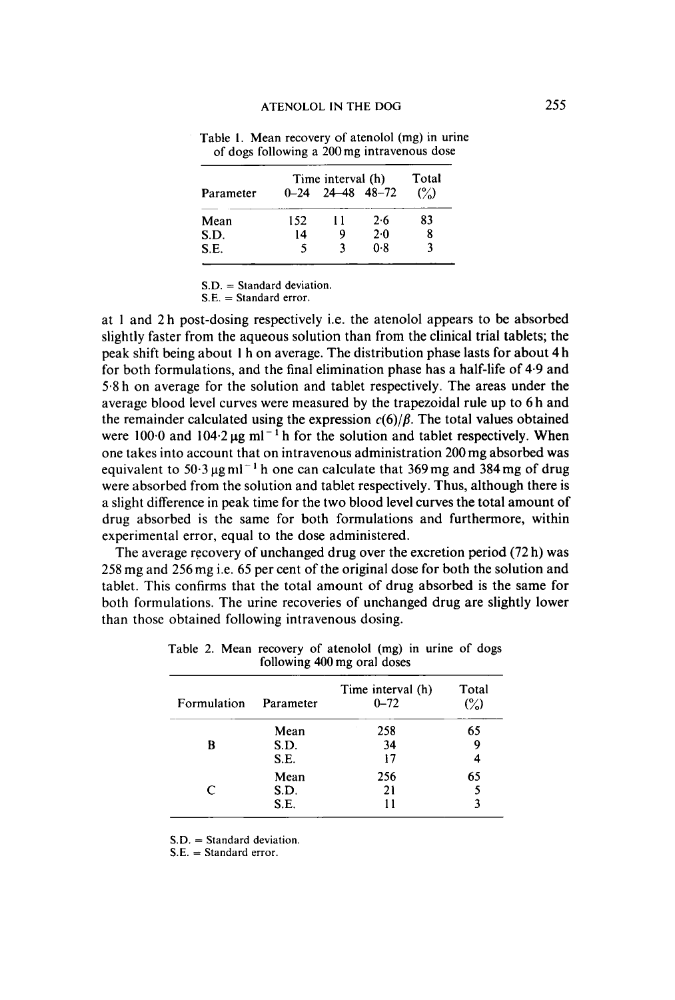|           | Time interval (h) |                      |     | Total          |
|-----------|-------------------|----------------------|-----|----------------|
| Parameter |                   | $0-24$ 24 48 48 - 72 |     | $\binom{0}{0}$ |
| Mean      | 152               | I I                  | 2.6 | 83             |
| S.D.      | 14                |                      | 2.0 |                |
| S.E.      | 5                 |                      | 0.8 |                |

**Table** I. **Mean recovery of atenolol (mg) in urine of dogs following a 200 mg intravenous dose** 

**S.D.** = **Standard deviation.** 

**S.E.** = **Standard error.** 

at 1 and **2** h post-dosing respectively i.e. the atenolol appears to be absorbed slightly faster from the aqueous solution than from the clinical trial tablets; the peak shift being about 1 h on average. The distribution phase lasts for about 4 h for both formulations, and the final elimination phase has a half-life of 4.9 and **5.8** h on average for the solution and tablet respectively. The areas under the average blood level curves were measured by the trapezoidal rule up to 6 h and the remainder calculated using the expression  $c(6)/\beta$ . The total values obtained were  $100.0$  and  $104.2 \mu g$  ml<sup>-1</sup>h for the solution and tablet respectively. When one takes into account that on intravenous administration 200mg absorbed was equivalent to 50.3  $\mu$ g ml<sup>-1</sup> h one can calculate that 369 mg and 384 mg of drug were absorbed from the solution and tablet respectively. Thus, although there is a slight difference in peak time for the two blood level curves the total amount of drug absorbed *is* the same for both formulations and furthermore, within experimental error, equal to the dose administered.

The average recovery of unchanged drug over the excretion period **(72** h) was **258** mg and **256** mg i.e. **65** per cent of the original dose for both the solution and tablet. This confirms that the total amount of drug absorbed is the same for both formulations. The urine recoveries of unchanged drug are slightly lower than those obtained following intravenous dosing.

| Formulation | Parameter | Time interval (h)<br>$0 - 72$ | Total<br>$\binom{6}{0}$ |
|-------------|-----------|-------------------------------|-------------------------|
| B           | Mean      | 258                           | 65                      |
|             | S.D.      | 34                            | 9                       |
|             | S.E.      | 17                            | 4                       |
| C           | Mean      | 256                           | 65                      |
|             | S.D.      | 21                            |                         |
|             | S.E.      |                               |                         |

**Table 2. Mean recovery of atenolol (mg) in urine of dogs following 400 mg oral doses** 

**S.D.** = **Standard deviation.** 

**S.E.** = **Standard error.**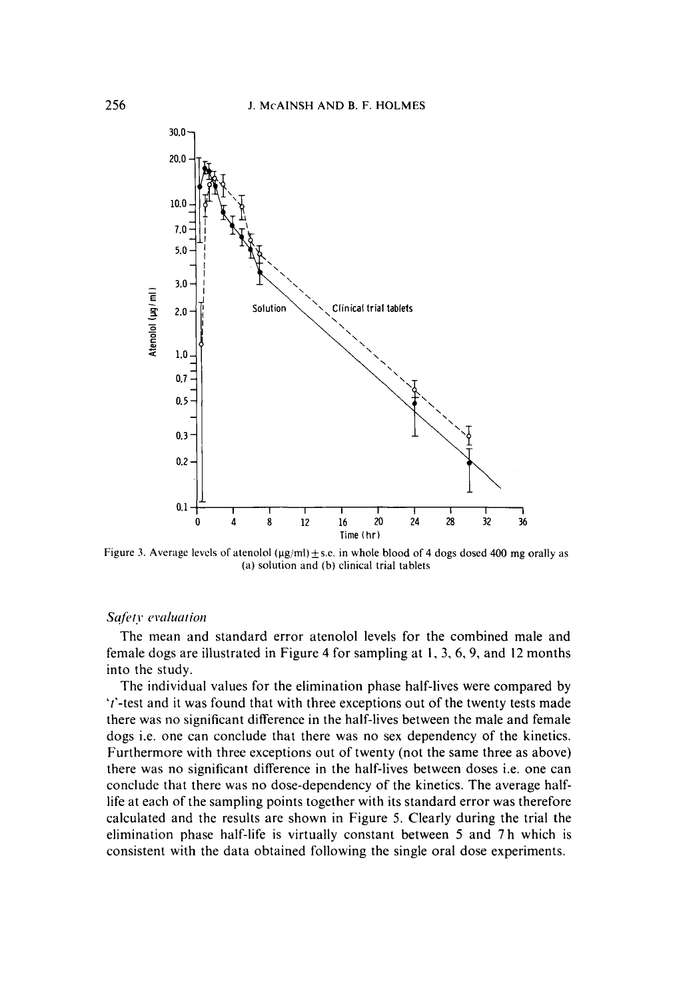

**Figure 3. Average levcls** of **atenolol** (pg/ml)+s.e. **in whole blood** of **4 dogs dosed 400 mg orally as (a) solution and** (b) **clinical trial tablets** 

### **Safety** evaluation

The mean and standard error atenolol levels for the combined male and female dogs are illustrated in Figure 4 for sampling at **I,** 3,6,9, and 12 months into the study.

The individual values for the elimination phase half-lives were compared by 't'-test and it was found that with three exceptions out of the twenty tests made there was no significant difference in the half-lives between the male and female dogs i.e. one can conclude that there was no sex dependency of the kinetics. Furthermore with three exceptions out of twenty (not the same three as above) there was no significant difference in the half-lives between doses i.e. one can conclude that there was no dose-dependency of the kinetics. The average halflife at each of the sampling points together with its standard error was therefore calculated and the results are shown in Figure 5. Clearly during the trial the elimination phase half-life is virtually constant between 5 and 7 h which is consistent with the data obtained following the single oral dose experiments.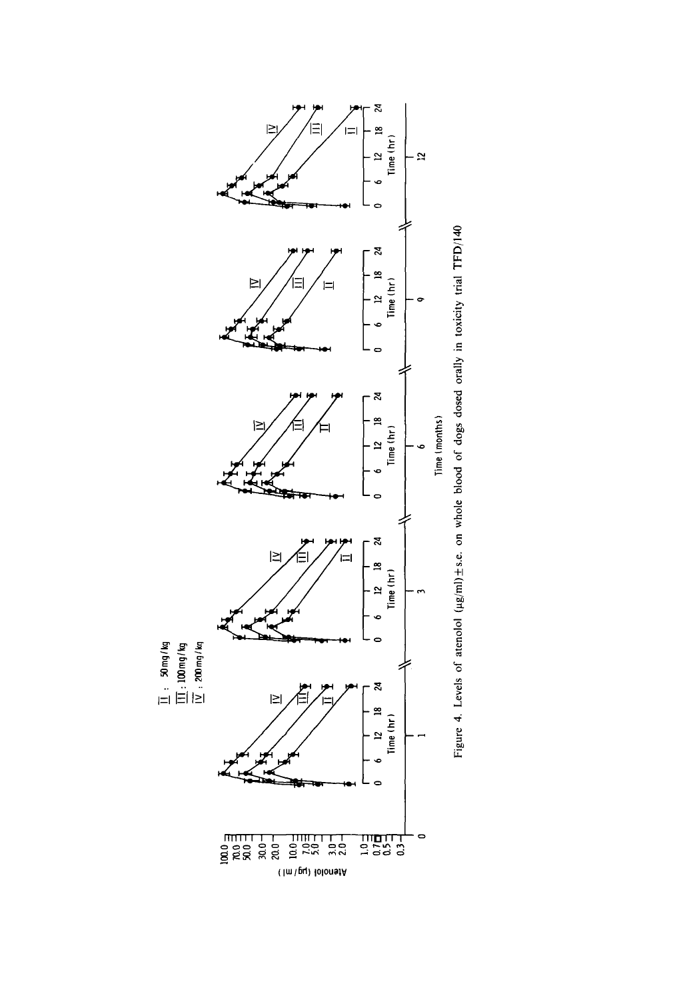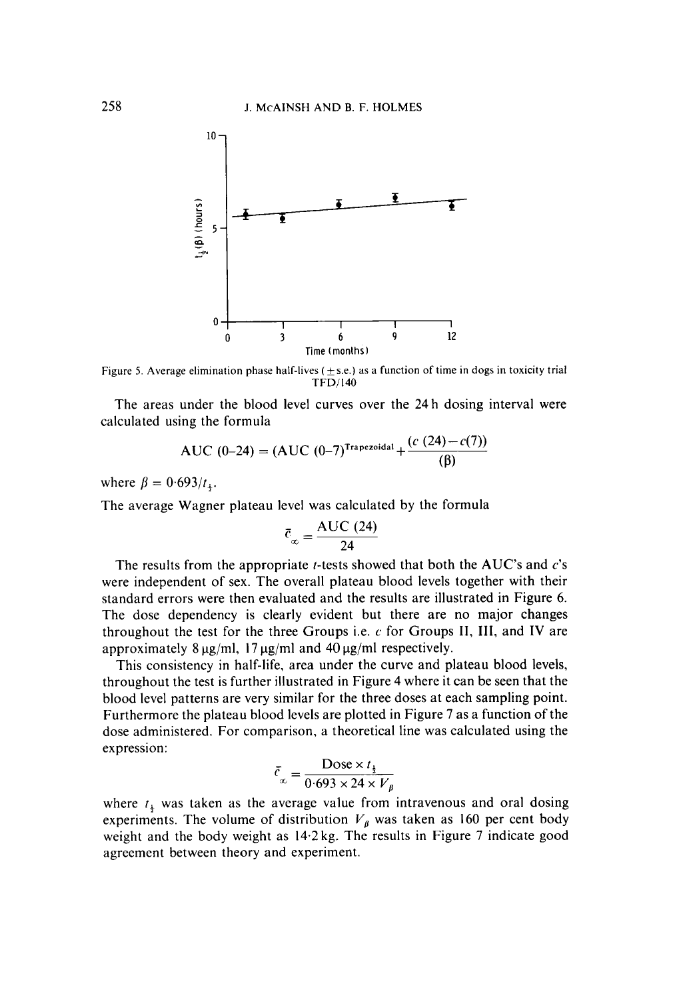

Figure 5. Average elimination phase half-lives ( $\pm$ s.e.) as a function of time in dogs in toxicity trial **TFD/140** 

The areas under the blood level curves over the **24** h dosing interval were calculated using the formula

AUC (0-24) = (AUC (0-7)<sup>Trapezoidal</sup> + 
$$
\frac{(c (24) - c(7))}{(\beta)}
$$

where  $\beta = 0.693/t_{\rm h}$ .

The average Wagner plateau level was calculated by the formula

$$
\bar{c}_{\infty} = \frac{\text{AUC (24)}}{24}
$$

The results from the appropriate t-tests showed that both the **AUC's** and c's were independent of sex. The overall plateau blood levels together with their standard errors were then evaluated and the results are illustrated in Figure 6. The dose dependency is clearly evident but there are no major changes throughout the test for the three Groups i.e. **c** for Groups **11, 111,** and **IV** are approximately 8  $\mu$ g/ml, 17  $\mu$ g/ml and 40  $\mu$ g/ml respectively.

This consistency in half-life, area under the curve and plateau blood levels, throughout the test is further illustrated in Figure **4** where it can be seen that the blood level patterns are very similar for the three doses at each sampling point. Furthermore the plateau blood levels are plotted in Figure 7 as a function of the dose administered. For comparison, a theoretical line was calculated using the expression:

$$
\bar{c}_{\infty} = \frac{\text{Dose} \times t_{\frac{1}{2}}}{0.693 \times 24 \times V_{\beta}}
$$

where  $t<sub>+</sub>$  was taken as the average value from intravenous and oral dosing experiments. The volume of distribution  $V_{\beta}$  was taken as 160 per cent body weight and the body weight as **14.2** kg. The results in Figure 7 indicate good agreement between theory and experiment.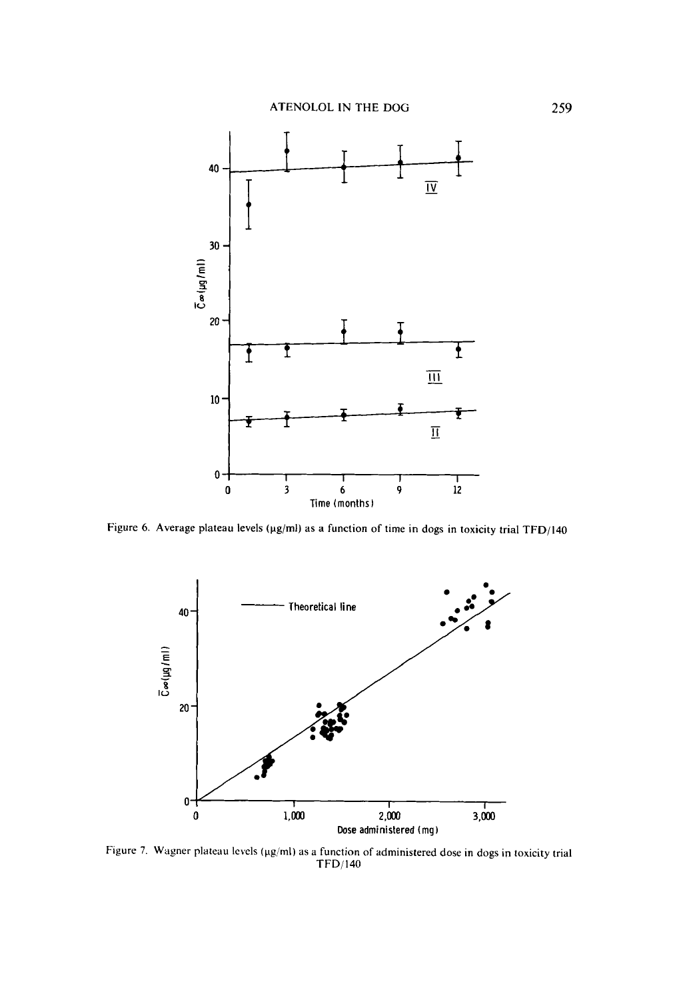

Figure 6. Average plateau levels (µg/ml) as a function of time in dogs in toxicity trial TFD/140



Figure 7. Wagner plateau levels (µg/ml) as a function of administered dose in dogs in toxicity trial **TFD/140**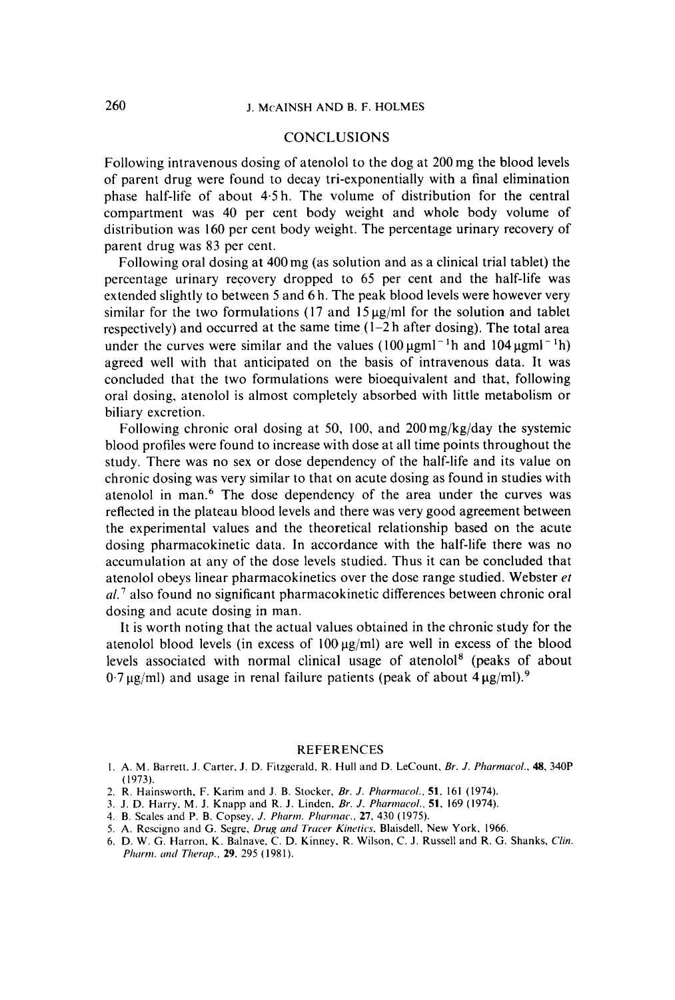# **CONCLUSIONS**

Following intravenous dosing of atenolol to the dog at 200 mg the blood levels of parent drug were found to decay tri-exponentially with a final elimination phase half-life of about 4.5h. The volume of distribution for the central compartment was 40 per cent body weight and whole body volume of distribution was 160 per cent body weight. The percentage urinary recovery of parent drug was 83 per cent.

Following oral dosing at 400mg (as solution and as a clinical trial tablet) the percentage urinary recovery dropped to 65 per cent and the half-life was extended slightly to between 5 and 6 h. The peak blood levels were however very similar for the two formulations  $(17 \text{ and } 15 \mu\text{g/ml})$  for the solution and tablet respectively) and occurred at the same time  $(1-2h$  after dosing). The total area under the curves were similar and the values  $(100 \,\mu\text{g} \text{m}^2)^{-1}$  and  $104 \,\mu\text{g} \text{m}^2$ agreed well with that anticipated on the basis of intravenous data. It was concluded that the two formulations were bioequivalent and that, following oral dosing, atenolol is almost completely absorbed with little metabolism or biliary excretion.

Following chronic oral dosing at 50, 100, and 200mg/kg/day the systemic blood profiles were found to increase with dose at all time points throughout the study. There was no sex or dose dependency of the half-life and its value on chronic dosing was very similar to that on acute dosing as found in studies with atenolol in man.<sup>6</sup> The dose dependency of the area under the curves was reflected in the plateau blood levels and there was very good agreement between the experimental values and the theoretical relationship based on the acute dosing pharmacokinetic data. In accordance with the half-life there was no accumulation at any of the dose levels studied. Thus it can be concluded that atenolol obeys linear pharmacokinetics over the dose range studied. Webster *et al.'* also found no significant pharmacokinetic differences between chronic oral dosing and acute dosing in man.

It is worth noting that the actual values obtained in the chronic study for the atenolol blood levels (in excess of  $100 \mu g/ml$ ) are well in excess of the blood levels associated with normal clinical usage of atenolo18 (peaks of about  $0.7 \mu$ g/ml) and usage in renal failure patients (peak of about  $4 \mu$ g/ml).<sup>9</sup>

#### **REFERENCES**

- I. **A. M.** Barrett. **J.** Carter. J. D. Fitzgerald. R. Hull and **D.** LeCount, *Br. J. Pharmurol.. 48,* 340P (1973).
- 2. R. Hainsworth, F. Karim and **J.** B. Stocker. *Br. J. Pkrrrtntrcol..* **51. 161** (1974).
- 3. J. D. Harry, M. J. Knapp and R. J. Linden, *Br. J. Pharmacol.*, **51**, 169 (1974).
- 4. B. Scales and P. B. Copsey. *J. Pharm. Pharmac.*, **27**, 430 (1975).
- 5. A. Rescigno and G. Segre, *Drug and Tracer Kinetics*. Blaisdell, New York, 1966.
- 6. D. W. G. Harron. K. Balnave. C. D. Kinney. R. Wilson. C. J. Russell and R. G. Shanks. *Clin. Pharm. and Therap.*, **29**, 295 (1981).